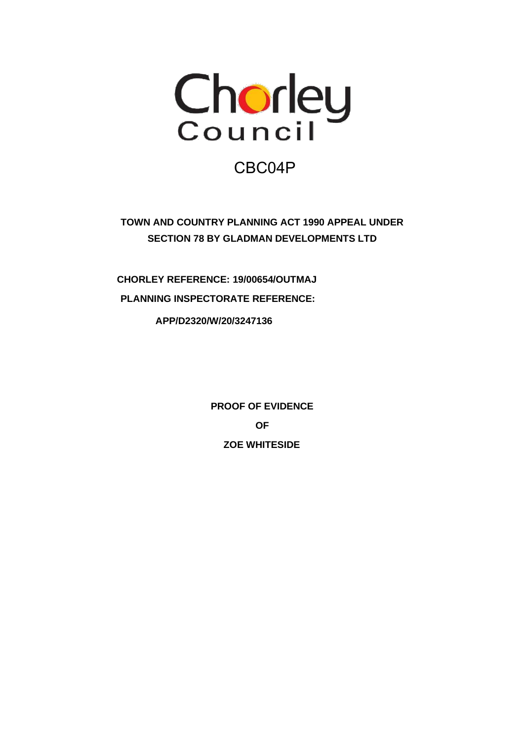

# CBC04P

**TOWN AND COUNTRY PLANNING ACT 1990 APPEAL UNDER SECTION 78 BY GLADMAN DEVELOPMENTS LTD**

**CHORLEY REFERENCE: 19/00654/OUTMAJ PLANNING INSPECTORATE REFERENCE:**

**APP/D2320/W/20/3247136**

**PROOF OF EVIDENCE OF ZOE WHITESIDE**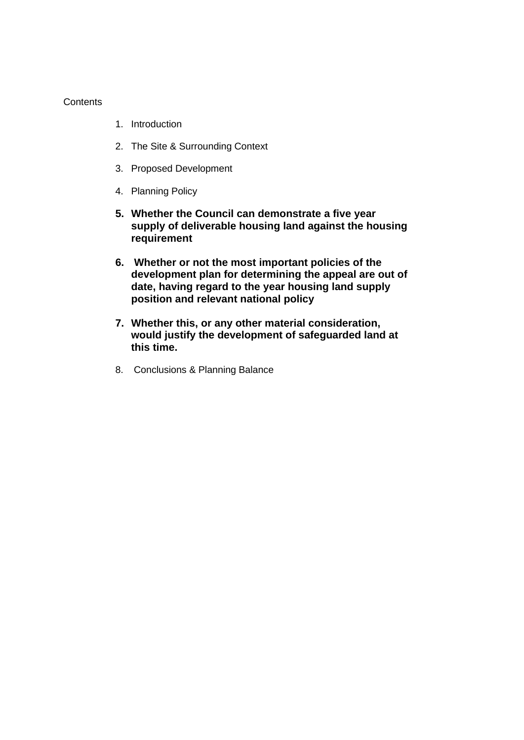### **Contents**

- 1. Introduction
- 2. The Site & Surrounding Context
- 3. Proposed Development
- 4. Planning Policy
- **5. Whether the Council can demonstrate a five year supply of deliverable housing land against the housing requirement**
- **6. Whether or not the most important policies of the development plan for determining the appeal are out of date, having regard to the year housing land supply position and relevant national policy**
- **7. Whether this, or any other material consideration, would justify the development of safeguarded land at this time.**
- 8. Conclusions & Planning Balance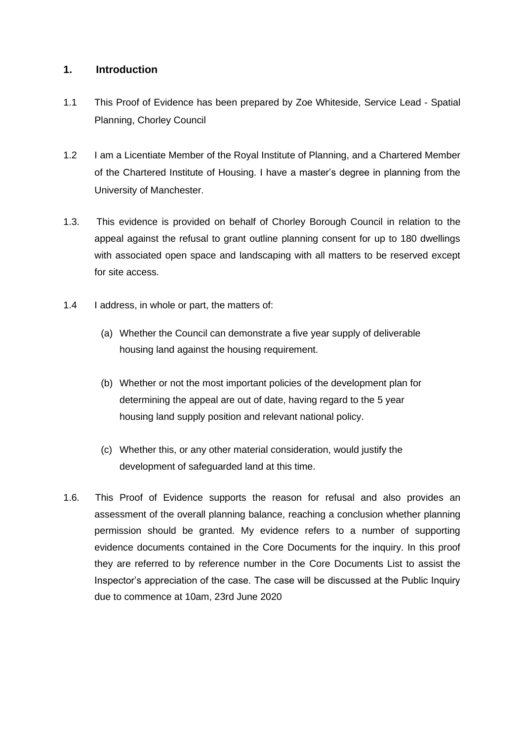# **1. Introduction**

- 1.1 This Proof of Evidence has been prepared by Zoe Whiteside, Service Lead Spatial Planning, Chorley Council
- 1.2 I am a Licentiate Member of the Royal Institute of Planning, and a Chartered Member of the Chartered Institute of Housing. I have a master's degree in planning from the University of Manchester.
- 1.3. This evidence is provided on behalf of Chorley Borough Council in relation to the appeal against the refusal to grant outline planning consent for up to 180 dwellings with associated open space and landscaping with all matters to be reserved except for site access.
- 1.4 I address, in whole or part, the matters of:
	- (a) Whether the Council can demonstrate a five year supply of deliverable housing land against the housing requirement.
	- (b) Whether or not the most important policies of the development plan for determining the appeal are out of date, having regard to the 5 year housing land supply position and relevant national policy.
	- (c) Whether this, or any other material consideration, would justify the development of safeguarded land at this time.
- 1.6. This Proof of Evidence supports the reason for refusal and also provides an assessment of the overall planning balance, reaching a conclusion whether planning permission should be granted. My evidence refers to a number of supporting evidence documents contained in the Core Documents for the inquiry. In this proof they are referred to by reference number in the Core Documents List to assist the Inspector's appreciation of the case. The case will be discussed at the Public Inquiry due to commence at 10am, 23rd June 2020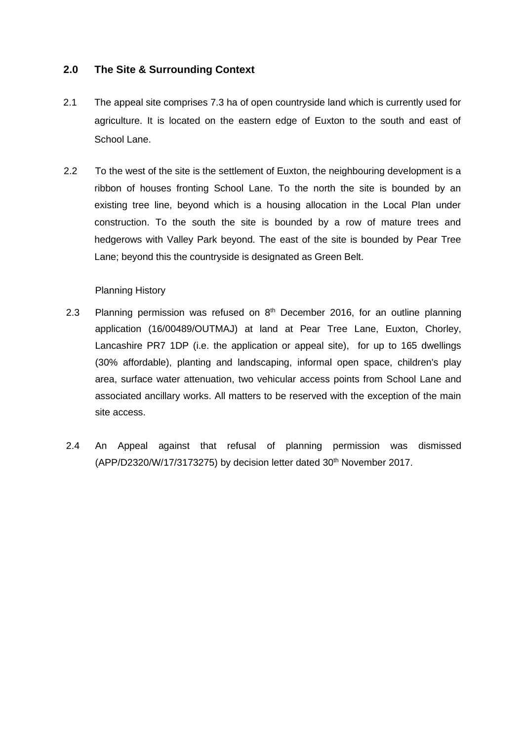# **2.0 The Site & Surrounding Context**

- 2.1 The appeal site comprises 7.3 ha of open countryside land which is currently used for agriculture. It is located on the eastern edge of Euxton to the south and east of School Lane.
- 2.2 To the west of the site is the settlement of Euxton, the neighbouring development is a ribbon of houses fronting School Lane. To the north the site is bounded by an existing tree line, beyond which is a housing allocation in the Local Plan under construction. To the south the site is bounded by a row of mature trees and hedgerows with Valley Park beyond. The east of the site is bounded by Pear Tree Lane; beyond this the countryside is designated as Green Belt.

### Planning History

- 2.3 Planning permission was refused on  $8<sup>th</sup>$  December 2016, for an outline planning application (16/00489/OUTMAJ) at land at Pear Tree Lane, Euxton, Chorley, Lancashire PR7 1DP (i.e. the application or appeal site), for up to 165 dwellings (30% affordable), planting and landscaping, informal open space, children's play area, surface water attenuation, two vehicular access points from School Lane and associated ancillary works. All matters to be reserved with the exception of the main site access.
- 2.4 An Appeal against that refusal of planning permission was dismissed (APP/D2320/W/17/3173275) by decision letter dated 30<sup>th</sup> November 2017.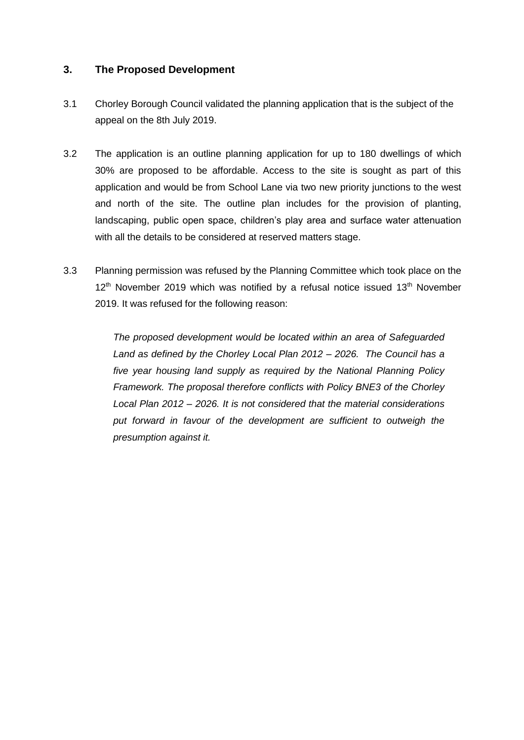# **3. The Proposed Development**

- 3.1 Chorley Borough Council validated the planning application that is the subject of the appeal on the 8th July 2019.
- 3.2 The application is an outline planning application for up to 180 dwellings of which 30% are proposed to be affordable. Access to the site is sought as part of this application and would be from School Lane via two new priority junctions to the west and north of the site. The outline plan includes for the provision of planting, landscaping, public open space, children's play area and surface water attenuation with all the details to be considered at reserved matters stage.
- 3.3 Planning permission was refused by the Planning Committee which took place on the  $12<sup>th</sup>$  November 2019 which was notified by a refusal notice issued 13<sup>th</sup> November 2019. It was refused for the following reason:

*The proposed development would be located within an area of Safeguarded Land as defined by the Chorley Local Plan 2012 – 2026. The Council has a five year housing land supply as required by the National Planning Policy Framework. The proposal therefore conflicts with Policy BNE3 of the Chorley Local Plan 2012 – 2026. It is not considered that the material considerations put forward in favour of the development are sufficient to outweigh the presumption against it.*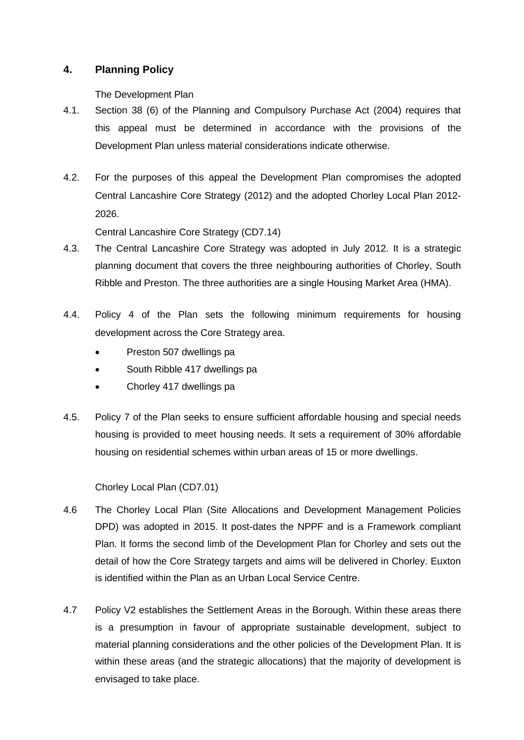# **4. Planning Policy**

The Development Plan

- 4.1. Section 38 (6) of the Planning and Compulsory Purchase Act (2004) requires that this appeal must be determined in accordance with the provisions of the Development Plan unless material considerations indicate otherwise.
- 4.2. For the purposes of this appeal the Development Plan compromises the adopted Central Lancashire Core Strategy (2012) and the adopted Chorley Local Plan 2012- 2026.

Central Lancashire Core Strategy (CD7.14)

- 4.3. The Central Lancashire Core Strategy was adopted in July 2012. It is a strategic planning document that covers the three neighbouring authorities of Chorley, South Ribble and Preston. The three authorities are a single Housing Market Area (HMA).
- 4.4. Policy 4 of the Plan sets the following minimum requirements for housing development across the Core Strategy area.
	- Preston 507 dwellings pa
	- South Ribble 417 dwellings pa
	- Chorley 417 dwellings pa
- 4.5. Policy 7 of the Plan seeks to ensure sufficient affordable housing and special needs housing is provided to meet housing needs. It sets a requirement of 30% affordable housing on residential schemes within urban areas of 15 or more dwellings.

Chorley Local Plan (CD7.01)

- 4.6 The Chorley Local Plan (Site Allocations and Development Management Policies DPD) was adopted in 2015. It post-dates the NPPF and is a Framework compliant Plan. It forms the second limb of the Development Plan for Chorley and sets out the detail of how the Core Strategy targets and aims will be delivered in Chorley. Euxton is identified within the Plan as an Urban Local Service Centre.
- 4.7 Policy V2 establishes the Settlement Areas in the Borough. Within these areas there is a presumption in favour of appropriate sustainable development, subject to material planning considerations and the other policies of the Development Plan. It is within these areas (and the strategic allocations) that the majority of development is envisaged to take place.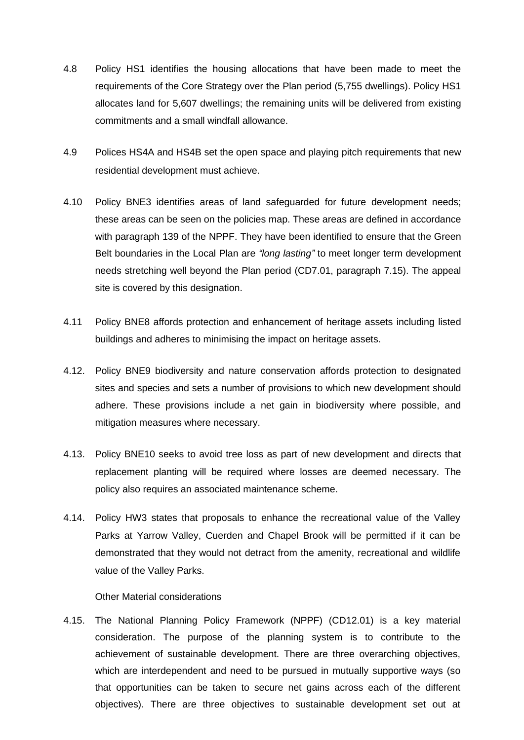- 4.8 Policy HS1 identifies the housing allocations that have been made to meet the requirements of the Core Strategy over the Plan period (5,755 dwellings). Policy HS1 allocates land for 5,607 dwellings; the remaining units will be delivered from existing commitments and a small windfall allowance.
- 4.9 Polices HS4A and HS4B set the open space and playing pitch requirements that new residential development must achieve.
- 4.10 Policy BNE3 identifies areas of land safeguarded for future development needs; these areas can be seen on the policies map. These areas are defined in accordance with paragraph 139 of the NPPF. They have been identified to ensure that the Green Belt boundaries in the Local Plan are *"long lasting"* to meet longer term development needs stretching well beyond the Plan period (CD7.01, paragraph 7.15). The appeal site is covered by this designation.
- 4.11 Policy BNE8 affords protection and enhancement of heritage assets including listed buildings and adheres to minimising the impact on heritage assets.
- 4.12. Policy BNE9 biodiversity and nature conservation affords protection to designated sites and species and sets a number of provisions to which new development should adhere. These provisions include a net gain in biodiversity where possible, and mitigation measures where necessary.
- 4.13. Policy BNE10 seeks to avoid tree loss as part of new development and directs that replacement planting will be required where losses are deemed necessary. The policy also requires an associated maintenance scheme.
- 4.14. Policy HW3 states that proposals to enhance the recreational value of the Valley Parks at Yarrow Valley, Cuerden and Chapel Brook will be permitted if it can be demonstrated that they would not detract from the amenity, recreational and wildlife value of the Valley Parks.

#### Other Material considerations

4.15. The National Planning Policy Framework (NPPF) (CD12.01) is a key material consideration. The purpose of the planning system is to contribute to the achievement of sustainable development. There are three overarching objectives, which are interdependent and need to be pursued in mutually supportive ways (so that opportunities can be taken to secure net gains across each of the different objectives). There are three objectives to sustainable development set out at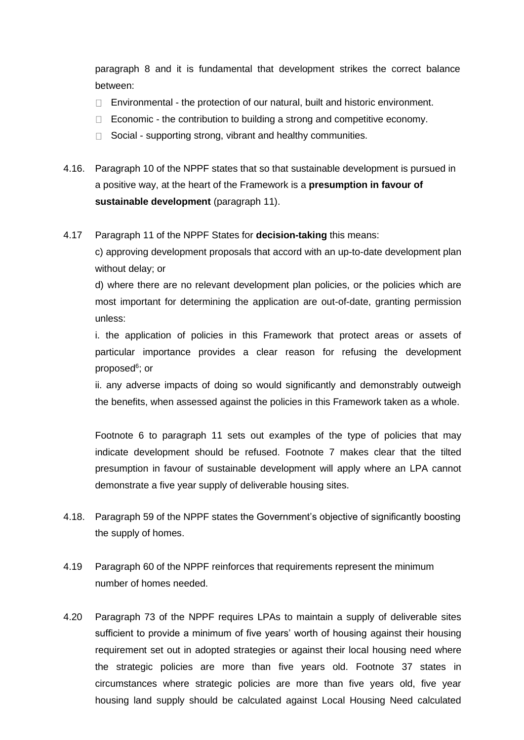paragraph 8 and it is fundamental that development strikes the correct balance between:

- $\Box$  Environmental the protection of our natural, built and historic environment.
- $\Box$  Economic the contribution to building a strong and competitive economy.
- $\Box$  Social supporting strong, vibrant and healthy communities.
- 4.16. Paragraph 10 of the NPPF states that so that sustainable development is pursued in a positive way, at the heart of the Framework is a **presumption in favour of sustainable development** (paragraph 11).

4.17 Paragraph 11 of the NPPF States for **decision-taking** this means:

c) approving development proposals that accord with an up-to-date development plan without delay; or

d) where there are no relevant development plan policies, or the policies which are most important for determining the application are out-of-date, granting permission unless:

i. the application of policies in this Framework that protect areas or assets of particular importance provides a clear reason for refusing the development proposed<sup>6</sup>; or

ii. any adverse impacts of doing so would significantly and demonstrably outweigh the benefits, when assessed against the policies in this Framework taken as a whole.

Footnote 6 to paragraph 11 sets out examples of the type of policies that may indicate development should be refused. Footnote 7 makes clear that the tilted presumption in favour of sustainable development will apply where an LPA cannot demonstrate a five year supply of deliverable housing sites.

- 4.18. Paragraph 59 of the NPPF states the Government's objective of significantly boosting the supply of homes.
- 4.19 Paragraph 60 of the NPPF reinforces that requirements represent the minimum number of homes needed.
- 4.20 Paragraph 73 of the NPPF requires LPAs to maintain a supply of deliverable sites sufficient to provide a minimum of five years' worth of housing against their housing requirement set out in adopted strategies or against their local housing need where the strategic policies are more than five years old. Footnote 37 states in circumstances where strategic policies are more than five years old, five year housing land supply should be calculated against Local Housing Need calculated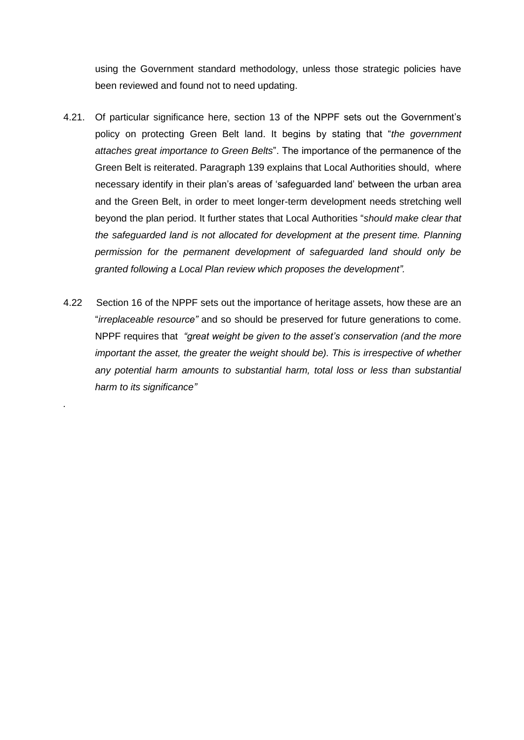using the Government standard methodology, unless those strategic policies have been reviewed and found not to need updating.

- 4.21. Of particular significance here, section 13 of the NPPF sets out the Government's policy on protecting Green Belt land. It begins by stating that "*the government attaches great importance to Green Belts*". The importance of the permanence of the Green Belt is reiterated. Paragraph 139 explains that Local Authorities should, where necessary identify in their plan's areas of 'safeguarded land' between the urban area and the Green Belt, in order to meet longer-term development needs stretching well beyond the plan period. It further states that Local Authorities "*should make clear that the safeguarded land is not allocated for development at the present time. Planning permission for the permanent development of safeguarded land should only be granted following a Local Plan review which proposes the development".*
- 4.22 Section 16 of the NPPF sets out the importance of heritage assets, how these are an "*irreplaceable resource"* and so should be preserved for future generations to come. NPPF requires that *"great weight be given to the asset's conservation (and the more important the asset, the greater the weight should be). This is irrespective of whether* any potential harm amounts to substantial harm, total loss or less than substantial *harm to its significance"*

*.*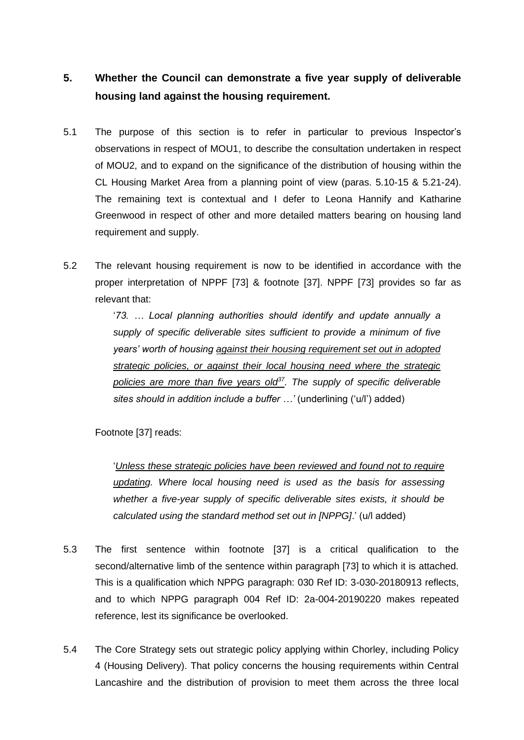# **5. Whether the Council can demonstrate a five year supply of deliverable housing land against the housing requirement.**

- 5.1 The purpose of this section is to refer in particular to previous Inspector's observations in respect of MOU1, to describe the consultation undertaken in respect of MOU2, and to expand on the significance of the distribution of housing within the CL Housing Market Area from a planning point of view (paras. 5.10-15 & 5.21-24). The remaining text is contextual and I defer to Leona Hannify and Katharine Greenwood in respect of other and more detailed matters bearing on housing land requirement and supply.
- 5.2 The relevant housing requirement is now to be identified in accordance with the proper interpretation of NPPF [73] & footnote [37]. NPPF [73] provides so far as relevant that:

'*73. … Local planning authorities should identify and update annually a supply of specific deliverable sites sufficient to provide a minimum of five years' worth of housing against their housing requirement set out in adopted strategic policies, or against their local housing need where the strategic policies are more than five years old<sup>37</sup>. The supply of specific deliverable sites should in addition include a buffer …'* (underlining ('u/l') added)

Footnote [37] reads:

'*Unless these strategic policies have been reviewed and found not to require updating. Where local housing need is used as the basis for assessing whether a five-year supply of specific deliverable sites exists, it should be calculated using the standard method set out in [NPPG]*.' (u/l added)

- 5.3 The first sentence within footnote [37] is a critical qualification to the second/alternative limb of the sentence within paragraph [73] to which it is attached. This is a qualification which NPPG paragraph: 030 Ref ID: 3-030-20180913 reflects, and to which NPPG paragraph 004 Ref ID: 2a-004-20190220 makes repeated reference, lest its significance be overlooked.
- 5.4 The Core Strategy sets out strategic policy applying within Chorley, including Policy 4 (Housing Delivery). That policy concerns the housing requirements within Central Lancashire and the distribution of provision to meet them across the three local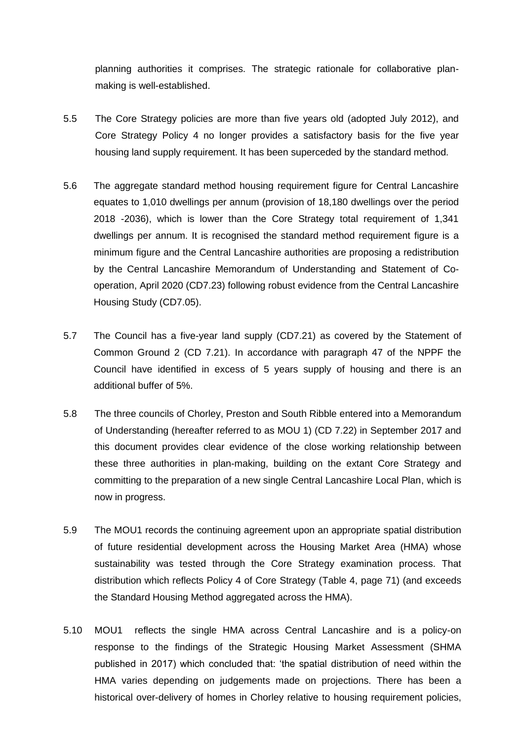planning authorities it comprises. The strategic rationale for collaborative planmaking is well-established.

- 5.5 The Core Strategy policies are more than five years old (adopted July 2012), and Core Strategy Policy 4 no longer provides a satisfactory basis for the five year housing land supply requirement. It has been superceded by the standard method.
- 5.6 The aggregate standard method housing requirement figure for Central Lancashire equates to 1,010 dwellings per annum (provision of 18,180 dwellings over the period 2018 -2036), which is lower than the Core Strategy total requirement of 1,341 dwellings per annum. It is recognised the standard method requirement figure is a minimum figure and the Central Lancashire authorities are proposing a redistribution by the Central Lancashire Memorandum of Understanding and Statement of Cooperation, April 2020 (CD7.23) following robust evidence from the Central Lancashire Housing Study (CD7.05).
- 5.7 The Council has a five-year land supply (CD7.21) as covered by the Statement of Common Ground 2 (CD 7.21). In accordance with paragraph 47 of the NPPF the Council have identified in excess of 5 years supply of housing and there is an additional buffer of 5%.
- 5.8 The three councils of Chorley, Preston and South Ribble entered into a Memorandum of Understanding (hereafter referred to as MOU 1) (CD 7.22) in September 2017 and this document provides clear evidence of the close working relationship between these three authorities in plan-making, building on the extant Core Strategy and committing to the preparation of a new single Central Lancashire Local Plan, which is now in progress.
- 5.9 The MOU1 records the continuing agreement upon an appropriate spatial distribution of future residential development across the Housing Market Area (HMA) whose sustainability was tested through the Core Strategy examination process. That distribution which reflects Policy 4 of Core Strategy (Table 4, page 71) (and exceeds the Standard Housing Method aggregated across the HMA).
- 5.10 MOU1 reflects the single HMA across Central Lancashire and is a policy-on response to the findings of the Strategic Housing Market Assessment (SHMA published in 2017) which concluded that: 'the spatial distribution of need within the HMA varies depending on judgements made on projections. There has been a historical over-delivery of homes in Chorley relative to housing requirement policies,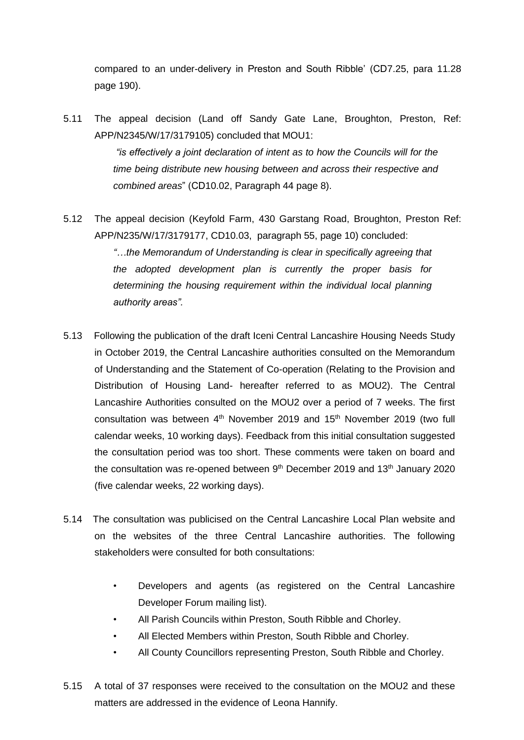compared to an under-delivery in Preston and South Ribble' (CD7.25, para 11.28 page 190).

- 5.11 The appeal decision (Land off Sandy Gate Lane, Broughton, Preston, Ref: APP/N2345/W/17/3179105) concluded that MOU1: *"is effectively a joint declaration of intent as to how the Councils will for the time being distribute new housing between and across their respective and combined areas*" (CD10.02, Paragraph 44 page 8).
- 5.12 The appeal decision (Keyfold Farm, 430 Garstang Road, Broughton, Preston Ref: APP/N235/W/17/3179177, CD10.03, paragraph 55, page 10) concluded: *"…the Memorandum of Understanding is clear in specifically agreeing that the adopted development plan is currently the proper basis for*  determining the housing requirement within the individual local planning *authority areas".*
- 5.13 Following the publication of the draft Iceni Central Lancashire Housing Needs Study in October 2019, the Central Lancashire authorities consulted on the Memorandum of Understanding and the Statement of Co-operation (Relating to the Provision and Distribution of Housing Land- hereafter referred to as MOU2). The Central Lancashire Authorities consulted on the MOU2 over a period of 7 weeks. The first consultation was between  $4<sup>th</sup>$  November 2019 and 15<sup>th</sup> November 2019 (two full calendar weeks, 10 working days). Feedback from this initial consultation suggested the consultation period was too short. These comments were taken on board and the consultation was re-opened between  $9<sup>th</sup>$  December 2019 and 13<sup>th</sup> January 2020 (five calendar weeks, 22 working days).
- 5.14 The consultation was publicised on the Central Lancashire Local Plan website and on the websites of the three Central Lancashire authorities. The following stakeholders were consulted for both consultations:
	- Developers and agents (as registered on the Central Lancashire Developer Forum mailing list).
	- All Parish Councils within Preston, South Ribble and Chorley.
	- All Elected Members within Preston, South Ribble and Chorley.
	- All County Councillors representing Preston, South Ribble and Chorley.
- 5.15 A total of 37 responses were received to the consultation on the MOU2 and these matters are addressed in the evidence of Leona Hannify.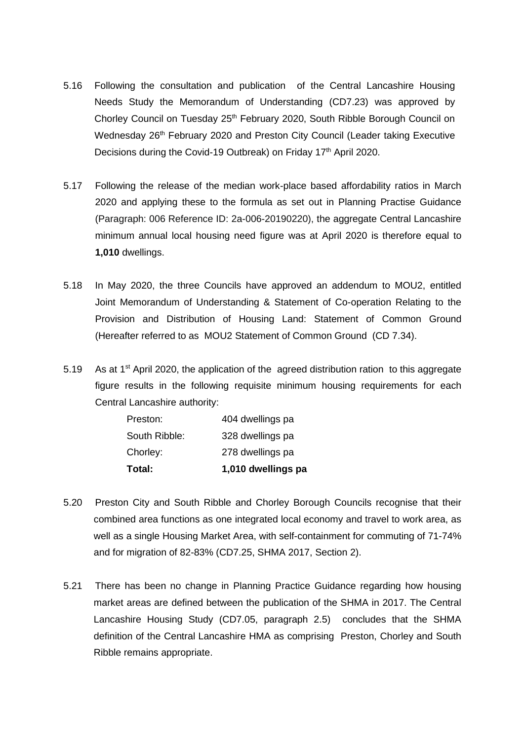- 5.16 Following the consultation and publication of the Central Lancashire Housing Needs Study the Memorandum of Understanding (CD7.23) was approved by Chorley Council on Tuesday 25<sup>th</sup> February 2020, South Ribble Borough Council on Wednesday 26<sup>th</sup> February 2020 and Preston City Council (Leader taking Executive Decisions during the Covid-19 Outbreak) on Friday 17<sup>th</sup> April 2020.
- 5.17 Following the release of the median work-place based affordability ratios in March 2020 and applying these to the formula as set out in Planning Practise Guidance (Paragraph: 006 Reference ID: 2a-006-20190220), the aggregate Central Lancashire minimum annual local housing need figure was at April 2020 is therefore equal to **1,010** dwellings.
- 5.18 In May 2020, the three Councils have approved an addendum to MOU2, entitled Joint Memorandum of Understanding & Statement of Co-operation Relating to the Provision and Distribution of Housing Land: Statement of Common Ground (Hereafter referred to as MOU2 Statement of Common Ground (CD 7.34).
- 5.19 As at 1<sup>st</sup> April 2020, the application of the agreed distribution ration to this aggregate figure results in the following requisite minimum housing requirements for each Central Lancashire authority:

| Total:        | 1,010 dwellings pa |  |  |
|---------------|--------------------|--|--|
| Chorley:      | 278 dwellings pa   |  |  |
| South Ribble: | 328 dwellings pa   |  |  |
| Preston:      | 404 dwellings pa   |  |  |

- 5.20 Preston City and South Ribble and Chorley Borough Councils recognise that their combined area functions as one integrated local economy and travel to work area, as well as a single Housing Market Area, with self-containment for commuting of 71-74% and for migration of 82-83% (CD7.25, SHMA 2017, Section 2).
- 5.21 There has been no change in Planning Practice Guidance regarding how housing market areas are defined between the publication of the SHMA in 2017. The Central Lancashire Housing Study (CD7.05, paragraph 2.5) concludes that the SHMA definition of the Central Lancashire HMA as comprising Preston, Chorley and South Ribble remains appropriate.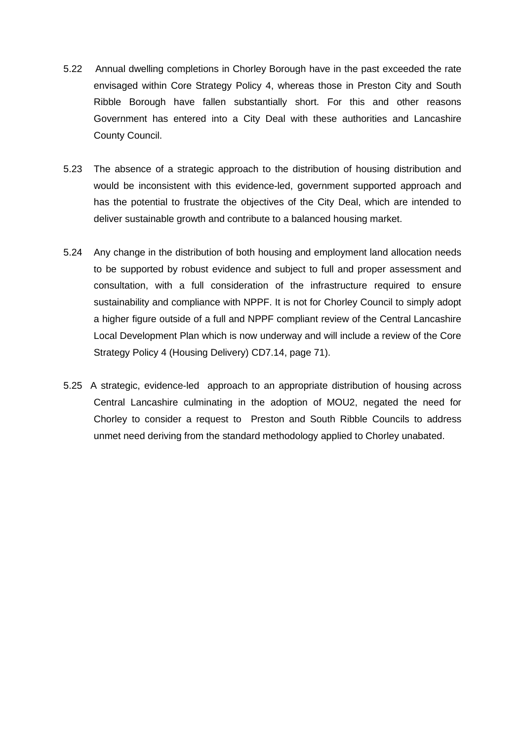- 5.22 Annual dwelling completions in Chorley Borough have in the past exceeded the rate envisaged within Core Strategy Policy 4, whereas those in Preston City and South Ribble Borough have fallen substantially short. For this and other reasons Government has entered into a City Deal with these authorities and Lancashire County Council.
- 5.23 The absence of a strategic approach to the distribution of housing distribution and would be inconsistent with this evidence-led, government supported approach and has the potential to frustrate the objectives of the City Deal, which are intended to deliver sustainable growth and contribute to a balanced housing market.
- 5.24 Any change in the distribution of both housing and employment land allocation needs to be supported by robust evidence and subject to full and proper assessment and consultation, with a full consideration of the infrastructure required to ensure sustainability and compliance with NPPF. It is not for Chorley Council to simply adopt a higher figure outside of a full and NPPF compliant review of the Central Lancashire Local Development Plan which is now underway and will include a review of the Core Strategy Policy 4 (Housing Delivery) CD7.14, page 71).
- 5.25 A strategic, evidence-led approach to an appropriate distribution of housing across Central Lancashire culminating in the adoption of MOU2, negated the need for Chorley to consider a request to Preston and South Ribble Councils to address unmet need deriving from the standard methodology applied to Chorley unabated.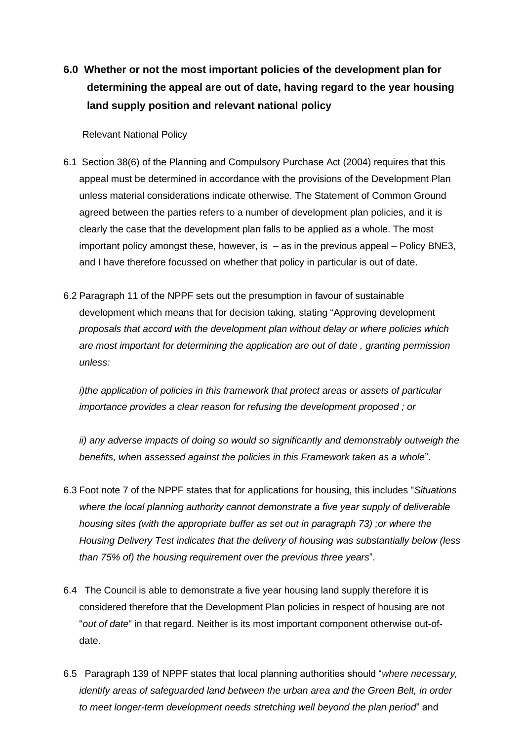**6.0 Whether or not the most important policies of the development plan for determining the appeal are out of date, having regard to the year housing land supply position and relevant national policy**

Relevant National Policy

- 6.1 Section 38(6) of the Planning and Compulsory Purchase Act (2004) requires that this appeal must be determined in accordance with the provisions of the Development Plan unless material considerations indicate otherwise. The Statement of Common Ground agreed between the parties refers to a number of development plan policies, and it is clearly the case that the development plan falls to be applied as a whole. The most important policy amongst these, however, is  $-$  as in the previous appeal  $-$  Policy BNE3, and I have therefore focussed on whether that policy in particular is out of date.
- 6.2 Paragraph 11 of the NPPF sets out the presumption in favour of sustainable development which means that for decision taking, stating "Approving development *proposals that accord with the development plan without delay or where policies which are most important for determining the application are out of date , granting permission unless:*

*i)the application of policies in this framework that protect areas or assets of particular importance provides a clear reason for refusing the development proposed ; or* 

*ii) any adverse impacts of doing so would so significantly and demonstrably outweigh the benefits, when assessed against the policies in this Framework taken as a whole*".

- 6.3 Foot note 7 of the NPPF states that for applications for housing, this includes "*Situations where the local planning authority cannot demonstrate a five year supply of deliverable housing sites (with the appropriate buffer as set out in paragraph 73) ;or where the Housing Delivery Test indicates that the delivery of housing was substantially below (less than 75% of) the housing requirement over the previous three years*".
- 6.4 The Council is able to demonstrate a five year housing land supply therefore it is considered therefore that the Development Plan policies in respect of housing are not "*out of date*" in that regard. Neither is its most important component otherwise out-ofdate.
- 6.5 Paragraph 139 of NPPF states that local planning authorities should "*where necessary, identify areas of safeguarded land between the urban area and the Green Belt, in order to meet longer-term development needs stretching well beyond the plan period*" and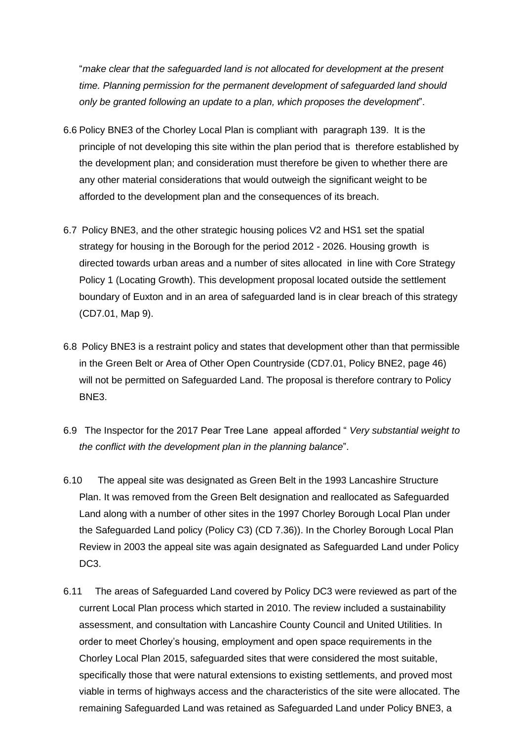"*make clear that the safeguarded land is not allocated for development at the present time. Planning permission for the permanent development of safeguarded land should only be granted following an update to a plan, which proposes the development*".

- 6.6 Policy BNE3 of the Chorley Local Plan is compliant with paragraph 139. It is the principle of not developing this site within the plan period that is therefore established by the development plan; and consideration must therefore be given to whether there are any other material considerations that would outweigh the significant weight to be afforded to the development plan and the consequences of its breach.
- 6.7 Policy BNE3, and the other strategic housing polices V2 and HS1 set the spatial strategy for housing in the Borough for the period 2012 - 2026. Housing growth is directed towards urban areas and a number of sites allocated in line with Core Strategy Policy 1 (Locating Growth). This development proposal located outside the settlement boundary of Euxton and in an area of safeguarded land is in clear breach of this strategy (CD7.01, Map 9).
- 6.8 Policy BNE3 is a restraint policy and states that development other than that permissible in the Green Belt or Area of Other Open Countryside (CD7.01, Policy BNE2, page 46) will not be permitted on Safeguarded Land. The proposal is therefore contrary to Policy BNE3.
- 6.9 The Inspector for the 2017 Pear Tree Lane appeal afforded " *Very substantial weight to the conflict with the development plan in the planning balance*".
- 6.10 The appeal site was designated as Green Belt in the 1993 Lancashire Structure Plan. It was removed from the Green Belt designation and reallocated as Safeguarded Land along with a number of other sites in the 1997 Chorley Borough Local Plan under the Safeguarded Land policy (Policy C3) (CD 7.36)). In the Chorley Borough Local Plan Review in 2003 the appeal site was again designated as Safeguarded Land under Policy DC<sub>3</sub>.
- 6.11 The areas of Safeguarded Land covered by Policy DC3 were reviewed as part of the current Local Plan process which started in 2010. The review included a sustainability assessment, and consultation with Lancashire County Council and United Utilities. In order to meet Chorley's housing, employment and open space requirements in the Chorley Local Plan 2015, safeguarded sites that were considered the most suitable, specifically those that were natural extensions to existing settlements, and proved most viable in terms of highways access and the characteristics of the site were allocated. The remaining Safeguarded Land was retained as Safeguarded Land under Policy BNE3, a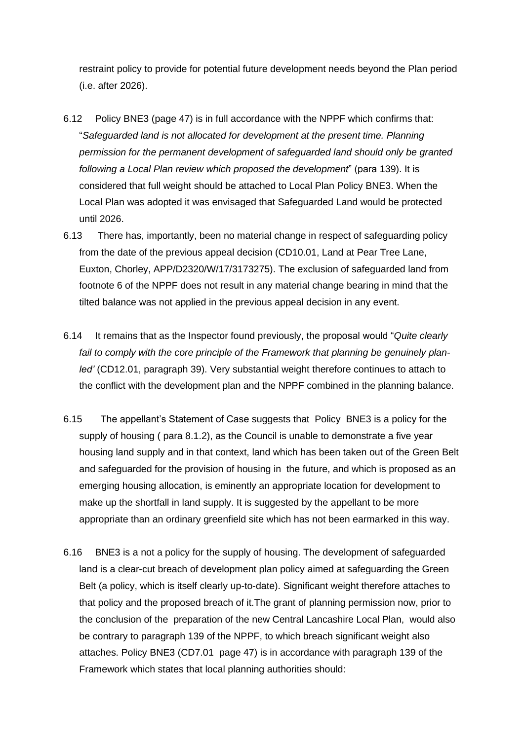restraint policy to provide for potential future development needs beyond the Plan period (i.e. after 2026).

- 6.12 Policy BNE3 (page 47) is in full accordance with the NPPF which confirms that: "*Safeguarded land is not allocated for development at the present time. Planning permission for the permanent development of safeguarded land should only be granted following a Local Plan review which proposed the development*" (para 139). It is considered that full weight should be attached to Local Plan Policy BNE3. When the Local Plan was adopted it was envisaged that Safeguarded Land would be protected until 2026.
- 6.13 There has, importantly, been no material change in respect of safeguarding policy from the date of the previous appeal decision (CD10.01, Land at Pear Tree Lane, Euxton, Chorley, APP/D2320/W/17/3173275). The exclusion of safeguarded land from footnote 6 of the NPPF does not result in any material change bearing in mind that the tilted balance was not applied in the previous appeal decision in any event.
- 6.14 It remains that as the Inspector found previously, the proposal would "*Quite clearly*  fail to comply with the core principle of the Framework that planning be genuinely plan*led'* (CD12.01, paragraph 39). Very substantial weight therefore continues to attach to the conflict with the development plan and the NPPF combined in the planning balance.
- 6.15 The appellant's Statement of Case suggests that Policy BNE3 is a policy for the supply of housing ( para 8.1.2), as the Council is unable to demonstrate a five year housing land supply and in that context, land which has been taken out of the Green Belt and safeguarded for the provision of housing in the future, and which is proposed as an emerging housing allocation, is eminently an appropriate location for development to make up the shortfall in land supply. It is suggested by the appellant to be more appropriate than an ordinary greenfield site which has not been earmarked in this way.
- 6.16 BNE3 is a not a policy for the supply of housing. The development of safeguarded land is a clear-cut breach of development plan policy aimed at safeguarding the Green Belt (a policy, which is itself clearly up-to-date). Significant weight therefore attaches to that policy and the proposed breach of it.The grant of planning permission now, prior to the conclusion of the preparation of the new Central Lancashire Local Plan, would also be contrary to paragraph 139 of the NPPF, to which breach significant weight also attaches. Policy BNE3 (CD7.01 page 47) is in accordance with paragraph 139 of the Framework which states that local planning authorities should: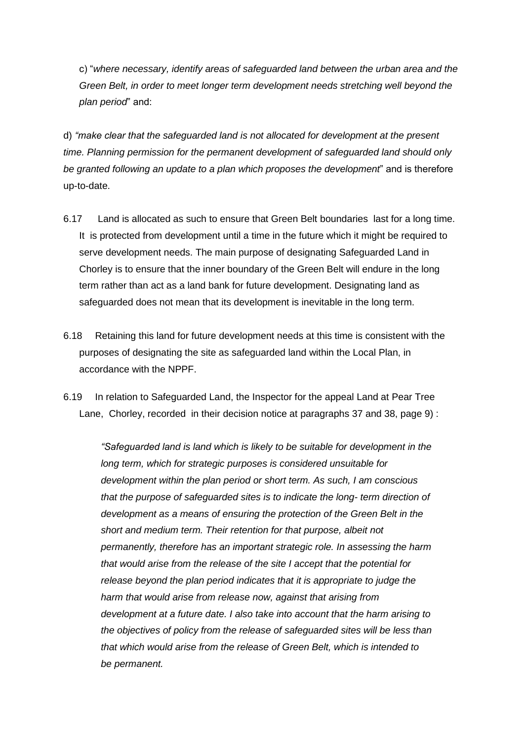c) "*where necessary, identify areas of safeguarded land between the urban area and the Green Belt, in order to meet longer term development needs stretching well beyond the plan period*" and:

d) *"make clear that the safeguarded land is not allocated for development at the present time. Planning permission for the permanent development of safeguarded land should only be granted following an update to a plan which proposes the development*" and is therefore up-to-date.

- 6.17 Land is allocated as such to ensure that Green Belt boundaries last for a long time. It is protected from development until a time in the future which it might be required to serve development needs. The main purpose of designating Safeguarded Land in Chorley is to ensure that the inner boundary of the Green Belt will endure in the long term rather than act as a land bank for future development. Designating land as safeguarded does not mean that its development is inevitable in the long term.
- 6.18 Retaining this land for future development needs at this time is consistent with the purposes of designating the site as safeguarded land within the Local Plan, in accordance with the NPPF.
- 6.19 In relation to Safeguarded Land, the Inspector for the appeal Land at Pear Tree Lane, Chorley, recorded in their decision notice at paragraphs 37 and 38, page 9) :

*"Safeguarded land is land which is likely to be suitable for development in the long term, which for strategic purposes is considered unsuitable for development within the plan period or short term. As such, I am conscious that the purpose of safeguarded sites is to indicate the long- term direction of development as a means of ensuring the protection of the Green Belt in the short and medium term. Their retention for that purpose, albeit not permanently, therefore has an important strategic role. In assessing the harm that would arise from the release of the site I accept that the potential for release beyond the plan period indicates that it is appropriate to judge the harm that would arise from release now, against that arising from development at a future date. I also take into account that the harm arising to the objectives of policy from the release of safeguarded sites will be less than that which would arise from the release of Green Belt, which is intended to be permanent.*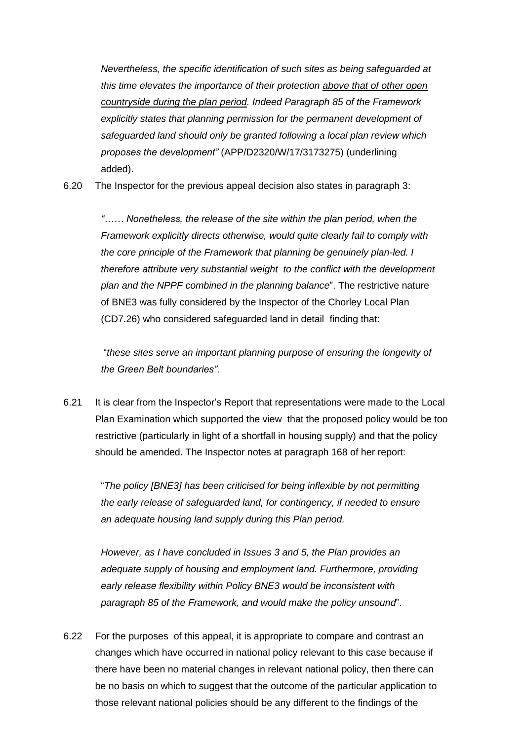*Nevertheless, the specific identification of such sites as being safeguarded at this time elevates the importance of their protection above that of other open countryside during the plan period. Indeed Paragraph 85 of the Framework explicitly states that planning permission for the permanent development of safeguarded land should only be granted following a local plan review which proposes the development"* (APP/D2320/W/17/3173275) (underlining added).

6.20 The Inspector for the previous appeal decision also states in paragraph 3:

*"…… Nonetheless, the release of the site within the plan period, when the Framework explicitly directs otherwise, would quite clearly fail to comply with the core principle of the Framework that planning be genuinely plan-led. I therefore attribute very substantial weight to the conflict with the development plan and the NPPF combined in the planning balance*". The restrictive nature of BNE3 was fully considered by the Inspector of the Chorley Local Plan (CD7.26) who considered safeguarded land in detail finding that:

"*these sites serve an important planning purpose of ensuring the longevity of the Green Belt boundaries".*

6.21 It is clear from the Inspector's Report that representations were made to the Local Plan Examination which supported the view that the proposed policy would be too restrictive (particularly in light of a shortfall in housing supply) and that the policy should be amended. The Inspector notes at paragraph 168 of her report:

"*The policy [BNE3] has been criticised for being inflexible by not permitting the early release of safeguarded land, for contingency, if needed to ensure an adequate housing land supply during this Plan period.*

*However, as I have concluded in Issues 3 and 5, the Plan provides an adequate supply of housing and employment land. Furthermore, providing early release flexibility within Policy BNE3 would be inconsistent with paragraph 85 of the Framework, and would make the policy unsound*".

6.22 For the purposes of this appeal, it is appropriate to compare and contrast an changes which have occurred in national policy relevant to this case because if there have been no material changes in relevant national policy, then there can be no basis on which to suggest that the outcome of the particular application to those relevant national policies should be any different to the findings of the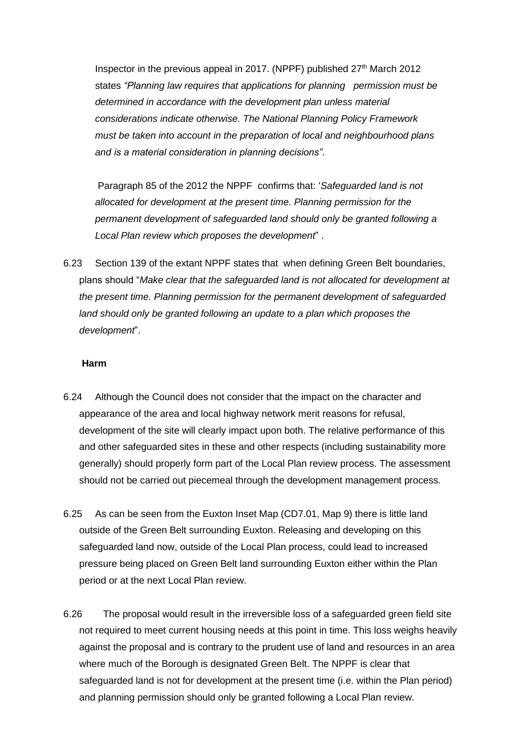Inspector in the previous appeal in 2017. (NPPF) published  $27<sup>th</sup>$  March 2012 states *"Planning law requires that applications for planning permission must be determined in accordance with the development plan unless material considerations indicate otherwise. The National Planning Policy Framework must be taken into account in the preparation of local and neighbourhood plans and is a material consideration in planning decisions"*.

Paragraph 85 of the 2012 the NPPF confirms that: '*Safeguarded land is not allocated for development at the present time. Planning permission for the permanent development of safeguarded land should only be granted following a Local Plan review which proposes the development*" .

6.23 Section 139 of the extant NPPF states that when defining Green Belt boundaries, plans should "*Make clear that the safeguarded land is not allocated for development at the present time. Planning permission for the permanent development of safeguarded land should only be granted following an update to a plan which proposes the development*".

### **Harm**

- 6.24 Although the Council does not consider that the impact on the character and appearance of the area and local highway network merit reasons for refusal, development of the site will clearly impact upon both. The relative performance of this and other safeguarded sites in these and other respects (including sustainability more generally) should properly form part of the Local Plan review process. The assessment should not be carried out piecemeal through the development management process.
- 6.25 As can be seen from the Euxton Inset Map (CD7.01, Map 9) there is little land outside of the Green Belt surrounding Euxton. Releasing and developing on this safeguarded land now, outside of the Local Plan process, could lead to increased pressure being placed on Green Belt land surrounding Euxton either within the Plan period or at the next Local Plan review.
- 6.26 The proposal would result in the irreversible loss of a safeguarded green field site not required to meet current housing needs at this point in time. This loss weighs heavily against the proposal and is contrary to the prudent use of land and resources in an area where much of the Borough is designated Green Belt. The NPPF is clear that safeguarded land is not for development at the present time (i.e. within the Plan period) and planning permission should only be granted following a Local Plan review.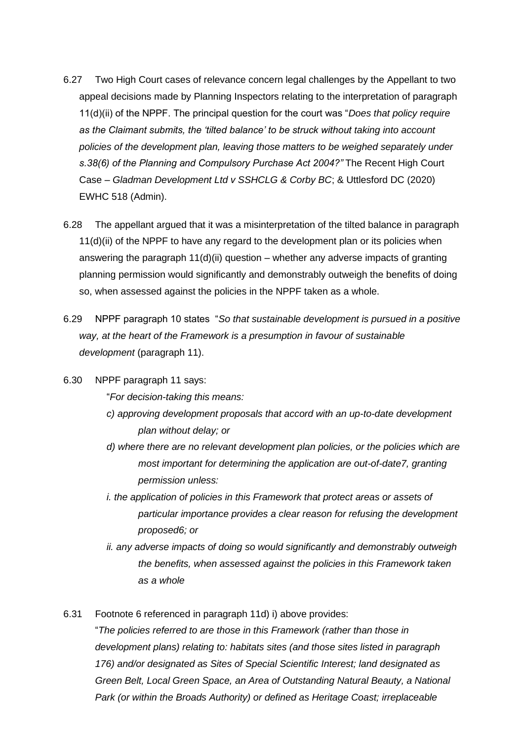- 6.27 Two High Court cases of relevance concern legal challenges by the Appellant to two appeal decisions made by Planning Inspectors relating to the interpretation of paragraph 11(d)(ii) of the NPPF. The principal question for the court was "*Does that policy require as the Claimant submits, the 'tilted balance' to be struck without taking into account policies of the development plan, leaving those matters to be weighed separately under s.38(6) of the Planning and Compulsory Purchase Act 2004?"* The Recent High Court Case – *Gladman Development Ltd v SSHCLG & Corby BC*; & Uttlesford DC (2020) EWHC 518 (Admin).
- 6.28 The appellant argued that it was a misinterpretation of the tilted balance in paragraph  $11(d)(ii)$  of the NPPF to have any regard to the development plan or its policies when answering the paragraph  $11(d)(ii)$  question – whether any adverse impacts of granting planning permission would significantly and demonstrably outweigh the benefits of doing so, when assessed against the policies in the NPPF taken as a whole.
- 6.29 NPPF paragraph 10 states "*So that sustainable development is pursued in a positive way, at the heart of the Framework is a presumption in favour of sustainable development* (paragraph 11).
- 6.30 NPPF paragraph 11 says:

"*For decision-taking this means:* 

- *c) approving development proposals that accord with an up-to-date development plan without delay; or*
- *d) where there are no relevant development plan policies, or the policies which are most important for determining the application are out-of-date7, granting permission unless:*
- *i. the application of policies in this Framework that protect areas or assets of particular importance provides a clear reason for refusing the development proposed6; or*
- *ii. any adverse impacts of doing so would significantly and demonstrably outweigh the benefits, when assessed against the policies in this Framework taken as a whole*

6.31 Footnote 6 referenced in paragraph 11d) i) above provides:

"*The policies referred to are those in this Framework (rather than those in development plans) relating to: habitats sites (and those sites listed in paragraph 176) and/or designated as Sites of Special Scientific Interest; land designated as Green Belt, Local Green Space, an Area of Outstanding Natural Beauty, a National Park (or within the Broads Authority) or defined as Heritage Coast; irreplaceable*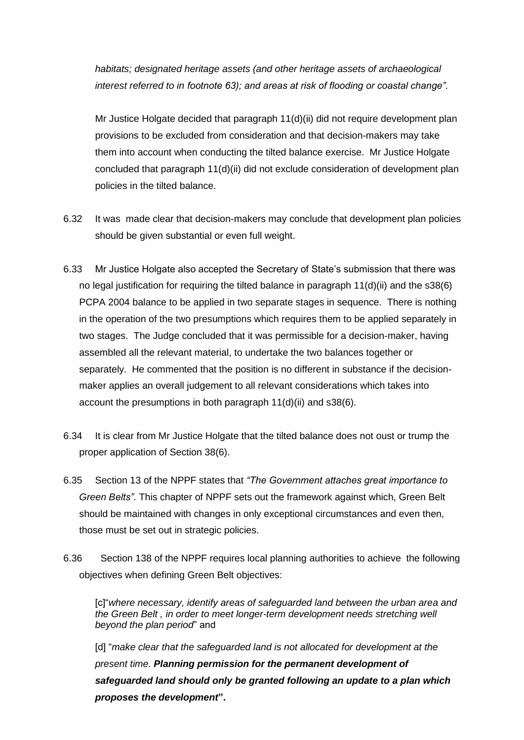*habitats; designated heritage assets (and other heritage assets of archaeological interest referred to in footnote 63); and areas at risk of flooding or coastal change".*

Mr Justice Holgate decided that paragraph 11(d)(ii) did not require development plan provisions to be excluded from consideration and that decision-makers may take them into account when conducting the tilted balance exercise. Mr Justice Holgate concluded that paragraph 11(d)(ii) did not exclude consideration of development plan policies in the tilted balance.

- 6.32 It was made clear that decision-makers may conclude that development plan policies should be given substantial or even full weight.
- 6.33 Mr Justice Holgate also accepted the Secretary of State's submission that there was no legal justification for requiring the tilted balance in paragraph  $11(d)(ii)$  and the s38(6) PCPA 2004 balance to be applied in two separate stages in sequence. There is nothing in the operation of the two presumptions which requires them to be applied separately in two stages. The Judge concluded that it was permissible for a decision-maker, having assembled all the relevant material, to undertake the two balances together or separately. He commented that the position is no different in substance if the decisionmaker applies an overall judgement to all relevant considerations which takes into account the presumptions in both paragraph 11(d)(ii) and s38(6).
- 6.34 It is clear from Mr Justice Holgate that the tilted balance does not oust or trump the proper application of Section 38(6).
- 6.35 Section 13 of the NPPF states that *"The Government attaches great importance to Green Belts".* This chapter of NPPF sets out the framework against which, Green Belt should be maintained with changes in only exceptional circumstances and even then, those must be set out in strategic policies.
- 6.36 Section 138 of the NPPF requires local planning authorities to achieve the following objectives when defining Green Belt objectives:

[c]"*where necessary, identify areas of safeguarded land between the urban area and the Green Belt , in order to meet longer-term development needs stretching well beyond the plan period*" and

[d] "*make clear that the safeguarded land is not allocated for development at the present time. Planning permission for the permanent development of safeguarded land should only be granted following an update to a plan which proposes the development***".**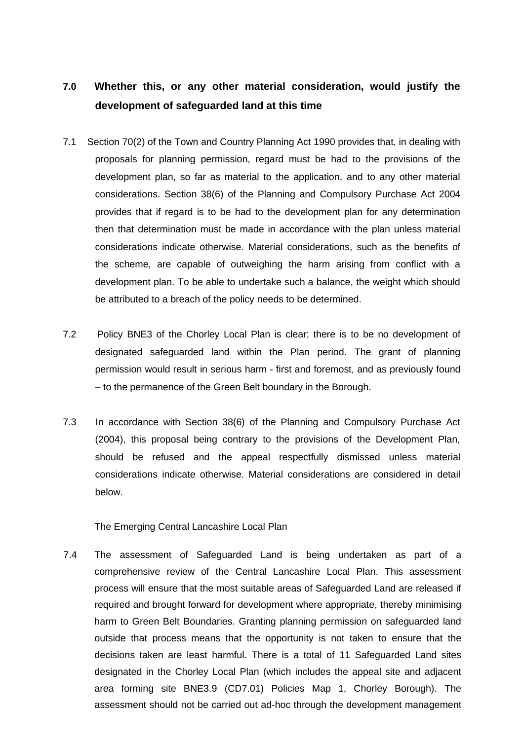# **7.0 Whether this, or any other material consideration, would justify the development of safeguarded land at this time**

- 7.1 Section 70(2) of the Town and Country Planning Act 1990 provides that, in dealing with proposals for planning permission, regard must be had to the provisions of the development plan, so far as material to the application, and to any other material considerations. Section 38(6) of the Planning and Compulsory Purchase Act 2004 provides that if regard is to be had to the development plan for any determination then that determination must be made in accordance with the plan unless material considerations indicate otherwise. Material considerations, such as the benefits of the scheme, are capable of outweighing the harm arising from conflict with a development plan. To be able to undertake such a balance, the weight which should be attributed to a breach of the policy needs to be determined.
- 7.2 Policy BNE3 of the Chorley Local Plan is clear; there is to be no development of designated safeguarded land within the Plan period. The grant of planning permission would result in serious harm - first and foremost, and as previously found – to the permanence of the Green Belt boundary in the Borough.
- 7.3 In accordance with Section 38(6) of the Planning and Compulsory Purchase Act (2004), this proposal being contrary to the provisions of the Development Plan, should be refused and the appeal respectfully dismissed unless material considerations indicate otherwise. Material considerations are considered in detail below.

The Emerging Central Lancashire Local Plan

7.4 The assessment of Safeguarded Land is being undertaken as part of a comprehensive review of the Central Lancashire Local Plan. This assessment process will ensure that the most suitable areas of Safeguarded Land are released if required and brought forward for development where appropriate, thereby minimising harm to Green Belt Boundaries. Granting planning permission on safeguarded land outside that process means that the opportunity is not taken to ensure that the decisions taken are least harmful. There is a total of 11 Safeguarded Land sites designated in the Chorley Local Plan (which includes the appeal site and adjacent area forming site BNE3.9 (CD7.01) Policies Map 1, Chorley Borough). The assessment should not be carried out ad-hoc through the development management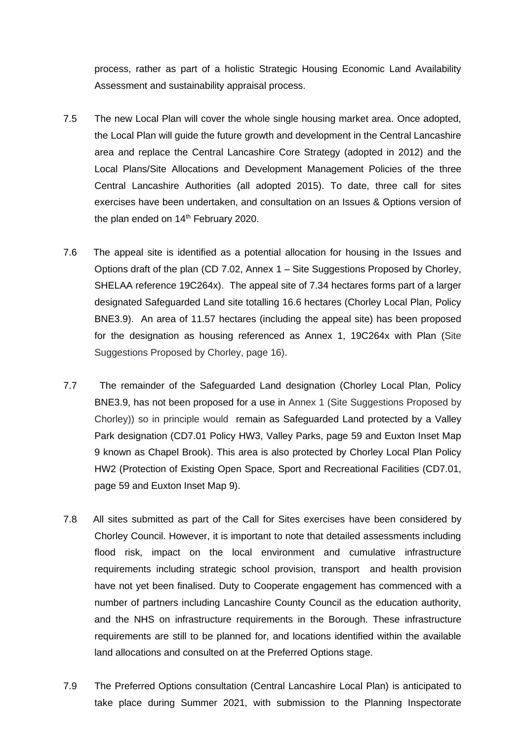process, rather as part of a holistic Strategic Housing Economic Land Availability Assessment and sustainability appraisal process.

- 7.5 The new Local Plan will cover the whole single housing market area. Once adopted, the Local Plan will guide the future growth and development in the Central Lancashire area and replace the Central Lancashire Core Strategy (adopted in 2012) and the Local Plans/Site Allocations and Development Management Policies of the three Central Lancashire Authorities (all adopted 2015). To date, three call for sites exercises have been undertaken, and consultation on an Issues & Options version of the plan ended on  $14<sup>th</sup>$  February 2020.
- 7.6 The appeal site is identified as a potential allocation for housing in the Issues and Options draft of the plan (CD 7.02, Annex 1 – Site Suggestions Proposed by Chorley, SHELAA reference 19C264x). The appeal site of 7.34 hectares forms part of a larger designated Safeguarded Land site totalling 16.6 hectares (Chorley Local Plan, Policy BNE3.9). An area of 11.57 hectares (including the appeal site) has been proposed for the designation as housing referenced as Annex 1, 19C264x with Plan (Site Suggestions Proposed by Chorley, page 16).
- 7.7 The remainder of the Safeguarded Land designation (Chorley Local Plan, Policy BNE3.9, has not been proposed for a use in Annex 1 (Site Suggestions Proposed by Chorley)) so in principle would remain as Safeguarded Land protected by a Valley Park designation (CD7.01 Policy HW3, Valley Parks, page 59 and Euxton Inset Map 9 known as Chapel Brook). This area is also protected by Chorley Local Plan Policy HW2 (Protection of Existing Open Space, Sport and Recreational Facilities (CD7.01, page 59 and Euxton Inset Map 9).
- 7.8 All sites submitted as part of the Call for Sites exercises have been considered by Chorley Council. However, it is important to note that detailed assessments including flood risk, impact on the local environment and cumulative infrastructure requirements including strategic school provision, transport and health provision have not yet been finalised. Duty to Cooperate engagement has commenced with a number of partners including Lancashire County Council as the education authority, and the NHS on infrastructure requirements in the Borough. These infrastructure requirements are still to be planned for, and locations identified within the available land allocations and consulted on at the Preferred Options stage.
- 7.9 The Preferred Options consultation (Central Lancashire Local Plan) is anticipated to take place during Summer 2021, with submission to the Planning Inspectorate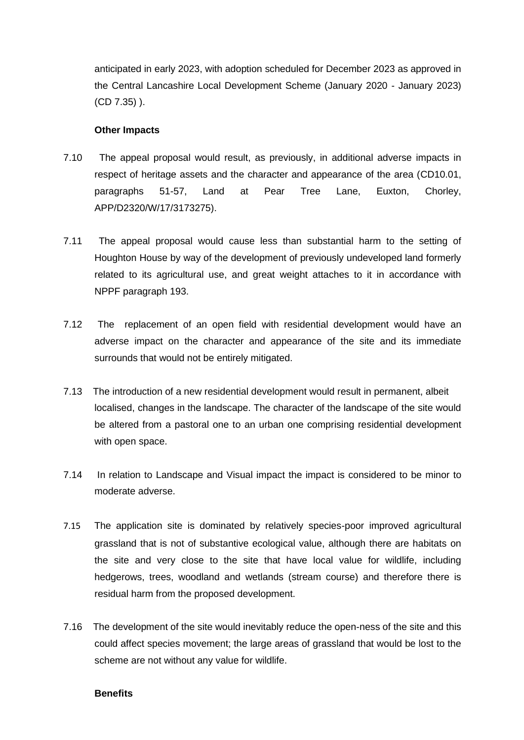anticipated in early 2023, with adoption scheduled for December 2023 as approved in the Central Lancashire Local Development Scheme (January 2020 - January 2023) (CD 7.35) ).

### **Other Impacts**

- 7.10 The appeal proposal would result, as previously, in additional adverse impacts in respect of heritage assets and the character and appearance of the area (CD10.01, paragraphs 51-57, Land at Pear Tree Lane, Euxton, Chorley, APP/D2320/W/17/3173275).
- 7.11 The appeal proposal would cause less than substantial harm to the setting of Houghton House by way of the development of previously undeveloped land formerly related to its agricultural use, and great weight attaches to it in accordance with NPPF paragraph 193.
- 7.12 The replacement of an open field with residential development would have an adverse impact on the character and appearance of the site and its immediate surrounds that would not be entirely mitigated.
- 7.13 The introduction of a new residential development would result in permanent, albeit localised, changes in the landscape. The character of the landscape of the site would be altered from a pastoral one to an urban one comprising residential development with open space.
- 7.14 In relation to Landscape and Visual impact the impact is considered to be minor to moderate adverse.
- 7.15 The application site is dominated by relatively species-poor improved agricultural grassland that is not of substantive ecological value, although there are habitats on the site and very close to the site that have local value for wildlife, including hedgerows, trees, woodland and wetlands (stream course) and therefore there is residual harm from the proposed development.
- 7.16 The development of the site would inevitably reduce the open-ness of the site and this could affect species movement; the large areas of grassland that would be lost to the scheme are not without any value for wildlife.

#### **Benefits**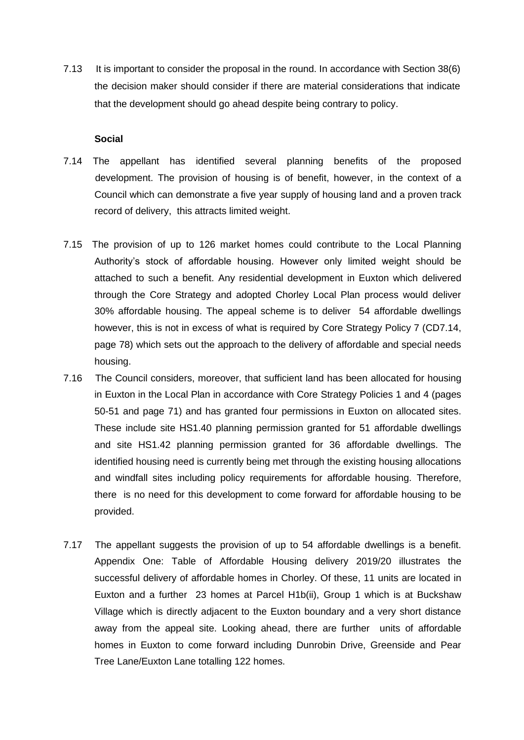7.13 It is important to consider the proposal in the round. In accordance with Section 38(6) the decision maker should consider if there are material considerations that indicate that the development should go ahead despite being contrary to policy.

#### **Social**

- 7.14 The appellant has identified several planning benefits of the proposed development. The provision of housing is of benefit, however, in the context of a Council which can demonstrate a five year supply of housing land and a proven track record of delivery, this attracts limited weight.
- 7.15 The provision of up to 126 market homes could contribute to the Local Planning Authority's stock of affordable housing. However only limited weight should be attached to such a benefit. Any residential development in Euxton which delivered through the Core Strategy and adopted Chorley Local Plan process would deliver 30% affordable housing. The appeal scheme is to deliver 54 affordable dwellings however, this is not in excess of what is required by Core Strategy Policy 7 (CD7.14, page 78) which sets out the approach to the delivery of affordable and special needs housing.
- 7.16 The Council considers, moreover, that sufficient land has been allocated for housing in Euxton in the Local Plan in accordance with Core Strategy Policies 1 and 4 (pages 50-51 and page 71) and has granted four permissions in Euxton on allocated sites. These include site HS1.40 planning permission granted for 51 affordable dwellings and site HS1.42 planning permission granted for 36 affordable dwellings. The identified housing need is currently being met through the existing housing allocations and windfall sites including policy requirements for affordable housing. Therefore, there is no need for this development to come forward for affordable housing to be provided.
- 7.17 The appellant suggests the provision of up to 54 affordable dwellings is a benefit. Appendix One: Table of Affordable Housing delivery 2019/20 illustrates the successful delivery of affordable homes in Chorley. Of these, 11 units are located in Euxton and a further 23 homes at Parcel H1b(ii), Group 1 which is at Buckshaw Village which is directly adjacent to the Euxton boundary and a very short distance away from the appeal site. Looking ahead, there are further units of affordable homes in Euxton to come forward including Dunrobin Drive, Greenside and Pear Tree Lane/Euxton Lane totalling 122 homes.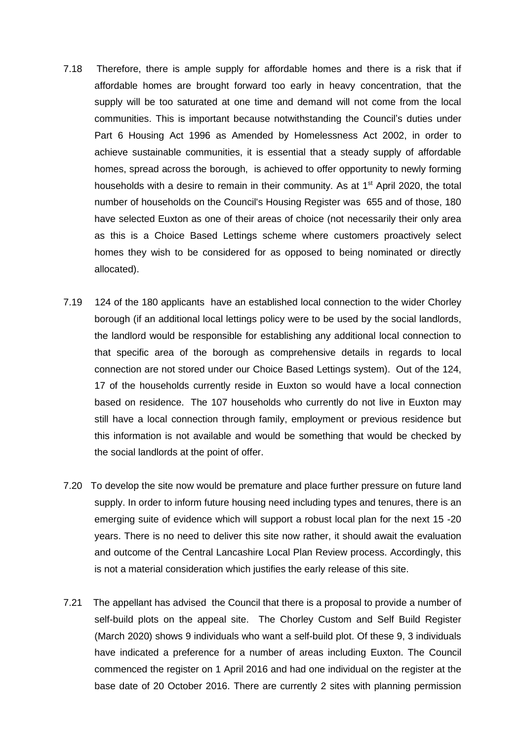- 7.18 Therefore, there is ample supply for affordable homes and there is a risk that if affordable homes are brought forward too early in heavy concentration, that the supply will be too saturated at one time and demand will not come from the local communities. This is important because notwithstanding the Council's duties under Part 6 Housing Act 1996 as Amended by Homelessness Act 2002, in order to achieve sustainable communities, it is essential that a steady supply of affordable homes, spread across the borough, is achieved to offer opportunity to newly forming households with a desire to remain in their community. As at  $1<sup>st</sup>$  April 2020, the total number of households on the Council's Housing Register was 655 and of those, 180 have selected Euxton as one of their areas of choice (not necessarily their only area as this is a Choice Based Lettings scheme where customers proactively select homes they wish to be considered for as opposed to being nominated or directly allocated).
- 7.19 124 of the 180 applicants have an established local connection to the wider Chorley borough (if an additional local lettings policy were to be used by the social landlords, the landlord would be responsible for establishing any additional local connection to that specific area of the borough as comprehensive details in regards to local connection are not stored under our Choice Based Lettings system). Out of the 124, 17 of the households currently reside in Euxton so would have a local connection based on residence. The 107 households who currently do not live in Euxton may still have a local connection through family, employment or previous residence but this information is not available and would be something that would be checked by the social landlords at the point of offer.
- 7.20 To develop the site now would be premature and place further pressure on future land supply. In order to inform future housing need including types and tenures, there is an emerging suite of evidence which will support a robust local plan for the next 15 -20 years. There is no need to deliver this site now rather, it should await the evaluation and outcome of the Central Lancashire Local Plan Review process. Accordingly, this is not a material consideration which justifies the early release of this site.
- 7.21 The appellant has advised the Council that there is a proposal to provide a number of self-build plots on the appeal site. The Chorley Custom and Self Build Register (March 2020) shows 9 individuals who want a self-build plot. Of these 9, 3 individuals have indicated a preference for a number of areas including Euxton. The Council commenced the register on 1 April 2016 and had one individual on the register at the base date of 20 October 2016. There are currently 2 sites with planning permission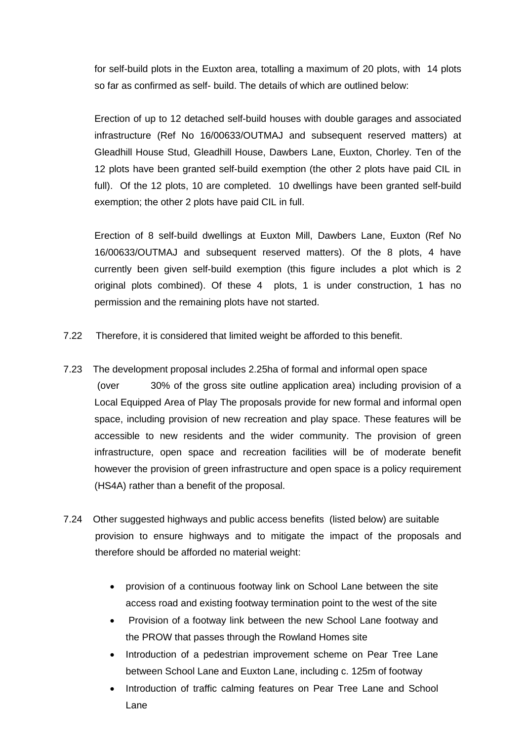for self-build plots in the Euxton area, totalling a maximum of 20 plots, with 14 plots so far as confirmed as self- build. The details of which are outlined below:

Erection of up to 12 detached self-build houses with double garages and associated infrastructure (Ref No 16/00633/OUTMAJ and subsequent reserved matters) at Gleadhill House Stud, Gleadhill House, Dawbers Lane, Euxton, Chorley. Ten of the 12 plots have been granted self-build exemption (the other 2 plots have paid CIL in full). Of the 12 plots, 10 are completed. 10 dwellings have been granted self-build exemption; the other 2 plots have paid CIL in full.

Erection of 8 self-build dwellings at Euxton Mill, Dawbers Lane, Euxton (Ref No 16/00633/OUTMAJ and subsequent reserved matters). Of the 8 plots, 4 have currently been given self-build exemption (this figure includes a plot which is 2 original plots combined). Of these 4 plots, 1 is under construction, 1 has no permission and the remaining plots have not started.

- 7.22 Therefore, it is considered that limited weight be afforded to this benefit.
- 7.23 The development proposal includes 2.25ha of formal and informal open space (over 30% of the gross site outline application area) including provision of a Local Equipped Area of Play The proposals provide for new formal and informal open space, including provision of new recreation and play space. These features will be accessible to new residents and the wider community. The provision of green infrastructure, open space and recreation facilities will be of moderate benefit however the provision of green infrastructure and open space is a policy requirement (HS4A) rather than a benefit of the proposal.
- 7.24 Other suggested highways and public access benefits (listed below) are suitable provision to ensure highways and to mitigate the impact of the proposals and therefore should be afforded no material weight:
	- provision of a continuous footway link on School Lane between the site access road and existing footway termination point to the west of the site
	- Provision of a footway link between the new School Lane footway and the PROW that passes through the Rowland Homes site
	- Introduction of a pedestrian improvement scheme on Pear Tree Lane between School Lane and Euxton Lane, including c. 125m of footway
	- Introduction of traffic calming features on Pear Tree Lane and School Lane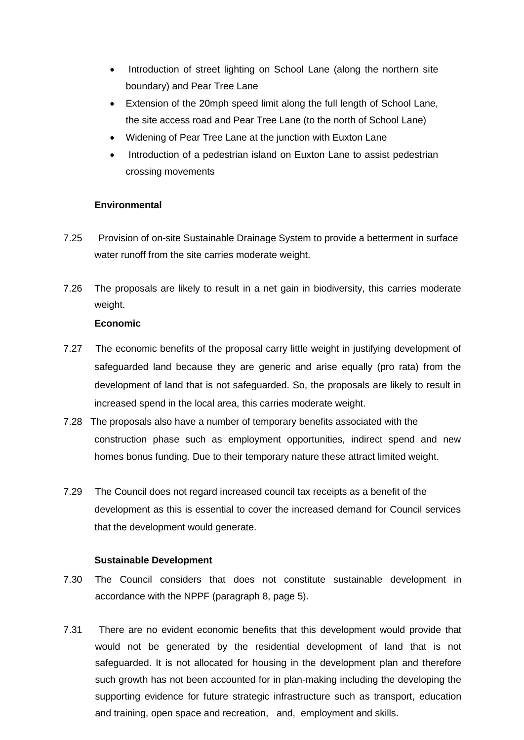- Introduction of street lighting on School Lane (along the northern site boundary) and Pear Tree Lane
- Extension of the 20mph speed limit along the full length of School Lane, the site access road and Pear Tree Lane (to the north of School Lane)
- Widening of Pear Tree Lane at the junction with Euxton Lane
- Introduction of a pedestrian island on Euxton Lane to assist pedestrian crossing movements

### **Environmental**

- 7.25 Provision of on-site Sustainable Drainage System to provide a betterment in surface water runoff from the site carries moderate weight.
- 7.26 The proposals are likely to result in a net gain in biodiversity, this carries moderate weight.

### **Economic**

- 7.27 The economic benefits of the proposal carry little weight in justifying development of safeguarded land because they are generic and arise equally (pro rata) from the development of land that is not safeguarded. So, the proposals are likely to result in increased spend in the local area, this carries moderate weight.
- 7.28 The proposals also have a number of temporary benefits associated with the construction phase such as employment opportunities, indirect spend and new homes bonus funding. Due to their temporary nature these attract limited weight.
- 7.29 The Council does not regard increased council tax receipts as a benefit of the development as this is essential to cover the increased demand for Council services that the development would generate.

### **Sustainable Development**

- 7.30 The Council considers that does not constitute sustainable development in accordance with the NPPF (paragraph 8, page 5).
- 7.31 There are no evident economic benefits that this development would provide that would not be generated by the residential development of land that is not safeguarded. It is not allocated for housing in the development plan and therefore such growth has not been accounted for in plan-making including the developing the supporting evidence for future strategic infrastructure such as transport, education and training, open space and recreation, and, employment and skills.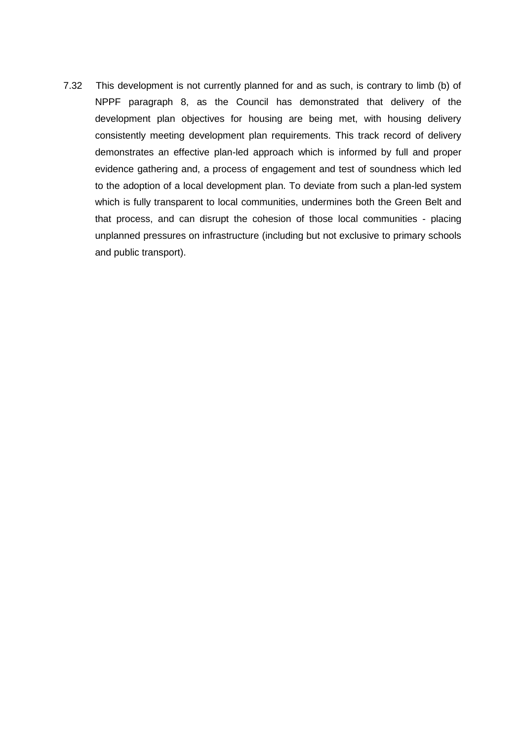7.32 This development is not currently planned for and as such, is contrary to limb (b) of NPPF paragraph 8, as the Council has demonstrated that delivery of the development plan objectives for housing are being met, with housing delivery consistently meeting development plan requirements. This track record of delivery demonstrates an effective plan-led approach which is informed by full and proper evidence gathering and, a process of engagement and test of soundness which led to the adoption of a local development plan. To deviate from such a plan-led system which is fully transparent to local communities, undermines both the Green Belt and that process, and can disrupt the cohesion of those local communities - placing unplanned pressures on infrastructure (including but not exclusive to primary schools and public transport).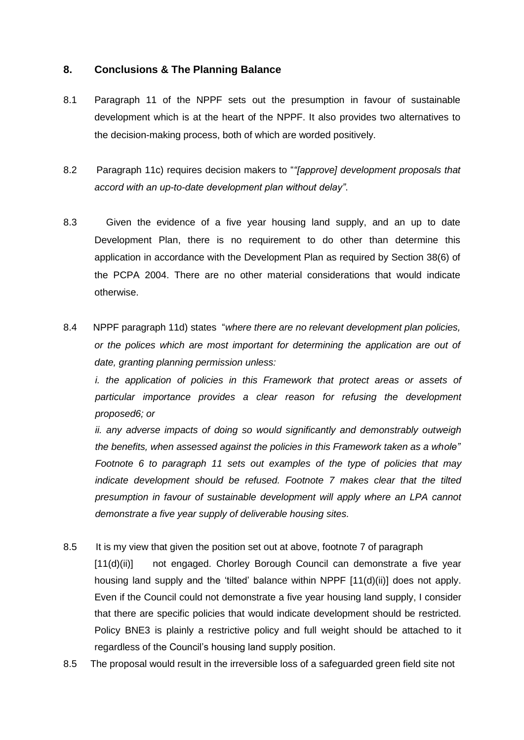### **8. Conclusions & The Planning Balance**

- 8.1 Paragraph 11 of the NPPF sets out the presumption in favour of sustainable development which is at the heart of the NPPF. It also provides two alternatives to the decision-making process, both of which are worded positively.
- 8.2 Paragraph 11c) requires decision makers to "*"[approve] development proposals that accord with an up-to-date development plan without delay"*.
- 8.3 Given the evidence of a five year housing land supply, and an up to date Development Plan, there is no requirement to do other than determine this application in accordance with the Development Plan as required by Section 38(6) of the PCPA 2004. There are no other material considerations that would indicate otherwise.
- 8.4 NPPF paragraph 11d) states "*where there are no relevant development plan policies, or the polices which are most important for determining the application are out of date, granting planning permission unless:*

*i. the application of policies in this Framework that protect areas or assets of particular importance provides a clear reason for refusing the development proposed6; or* 

*ii. any adverse impacts of doing so would significantly and demonstrably outweigh the benefits, when assessed against the policies in this Framework taken as a whole" Footnote 6 to paragraph 11 sets out examples of the type of policies that may indicate development should be refused. Footnote 7 makes clear that the tilted presumption in favour of sustainable development will apply where an LPA cannot demonstrate a five year supply of deliverable housing sites.*

- 8.5 It is my view that given the position set out at above, footnote 7 of paragraph [11(d)(ii)] not engaged. Chorley Borough Council can demonstrate a five year housing land supply and the 'tilted' balance within NPPF [11(d)(ii)] does not apply. Even if the Council could not demonstrate a five year housing land supply, I consider that there are specific policies that would indicate development should be restricted. Policy BNE3 is plainly a restrictive policy and full weight should be attached to it regardless of the Council's housing land supply position.
- 8.5 The proposal would result in the irreversible loss of a safeguarded green field site not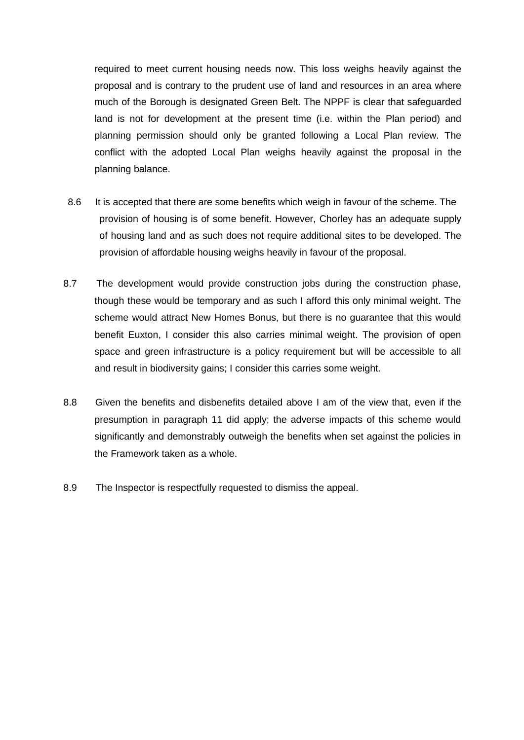required to meet current housing needs now. This loss weighs heavily against the proposal and is contrary to the prudent use of land and resources in an area where much of the Borough is designated Green Belt. The NPPF is clear that safeguarded land is not for development at the present time (i.e. within the Plan period) and planning permission should only be granted following a Local Plan review. The conflict with the adopted Local Plan weighs heavily against the proposal in the planning balance.

- 8.6 It is accepted that there are some benefits which weigh in favour of the scheme. The provision of housing is of some benefit. However, Chorley has an adequate supply of housing land and as such does not require additional sites to be developed. The provision of affordable housing weighs heavily in favour of the proposal.
- 8.7 The development would provide construction jobs during the construction phase, though these would be temporary and as such I afford this only minimal weight. The scheme would attract New Homes Bonus, but there is no guarantee that this would benefit Euxton, I consider this also carries minimal weight. The provision of open space and green infrastructure is a policy requirement but will be accessible to all and result in biodiversity gains; I consider this carries some weight.
- 8.8 Given the benefits and disbenefits detailed above I am of the view that, even if the presumption in paragraph 11 did apply; the adverse impacts of this scheme would significantly and demonstrably outweigh the benefits when set against the policies in the Framework taken as a whole.
- 8.9 The Inspector is respectfully requested to dismiss the appeal.